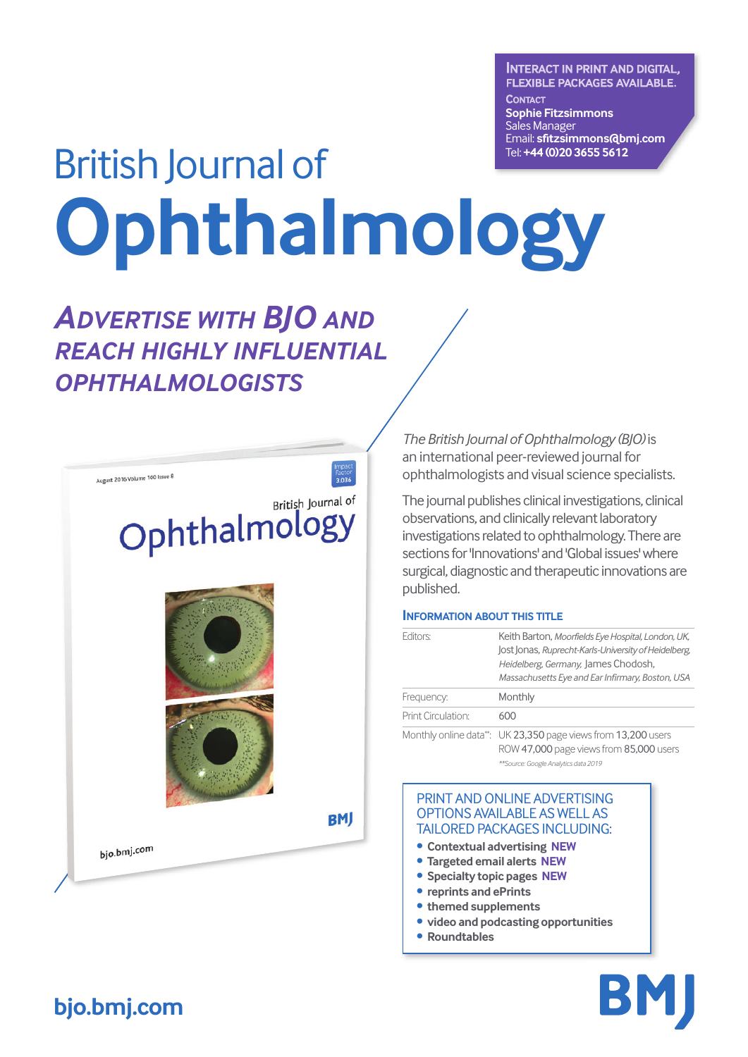**INTERACT IN PRINT AND DIGITAL, FLEXIBLE PACKAGES AVAILABLE. CONTACT Sophie Fitzsimmons** Sales Manager Email: **sfitzsimmons@bmj.com** Tel: **+44 (0)20 3655 5612**

# British Journal of **Ophthalmology**

Factor<br>3.036

# *ADVERTISE WITH BJO AND REACH HIGHLY INFLUENTIAL OPHTHALMOLOGISTS*

August 2016 Volume 100 Issue 8

# British Journal of Ophthalmology



**BMJ** 

bjo.bmj.com

*The British Journal of Ophthalmology (BJO)* is an international peer-reviewed journal for ophthalmologists and visual science specialists.

The journal publishes clinical investigations, clinical observations, and clinically relevant laboratory investigations related to ophthalmology. There are sections for 'Innovations' and 'Global issues' where surgical, diagnostic and therapeutic innovations are published.

#### **INFORMATION ABOUT THIS TITLE**

| Editors:           | Keith Barton, Moorfields Eye Hospital, London, UK,<br>Jost Jonas, Ruprecht-Karls-University of Heidelberg,<br>Heidelberg, Germany, James Chodosh,<br>Massachusetts Eye and Ear Infirmary, Boston, USA |  |
|--------------------|-------------------------------------------------------------------------------------------------------------------------------------------------------------------------------------------------------|--|
| Frequency:         | Monthly                                                                                                                                                                                               |  |
| Print Circulation: | 600                                                                                                                                                                                                   |  |
|                    | Monthly online data <sup>**</sup> UK 23.350 page views from 13.200 users                                                                                                                              |  |

Monthly online data\*\*: UK 23,350 page views from 13,200 users ROW 47,000 page views from 85,000 users *\*\*Source: Google Analytics data 2019*

#### PRINT AND ONLINE ADVERTISING OPTIONS AVAILABLE AS WELL AS TAILORED PACKAGES INCLUDING:

- **• Contextual advertising NEW**
- **• Targeted email alerts NEW**
- **• Specialty topic pages NEW**
- **• reprints and ePrints**
- **• themed supplements**
- **• video and podcasting opportunities**
- **• Roundtables**



## **bjo.bmj.com**